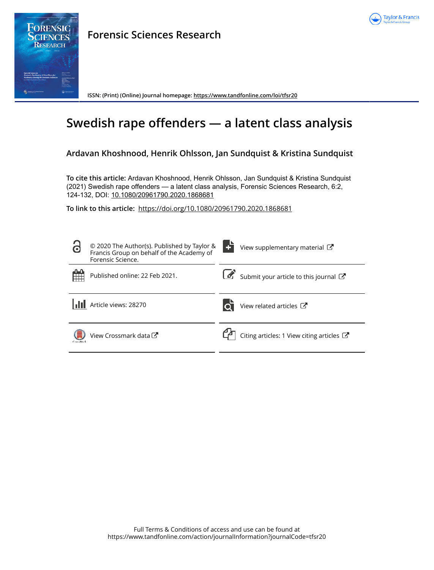



**Forensic Sciences Research**

**ISSN: (Print) (Online) Journal homepage:<https://www.tandfonline.com/loi/tfsr20>**

# **Swedish rape offenders — a latent class analysis**

# **Ardavan Khoshnood, Henrik Ohlsson, Jan Sundquist & Kristina Sundquist**

**To cite this article:** Ardavan Khoshnood, Henrik Ohlsson, Jan Sundquist & Kristina Sundquist (2021) Swedish rape offenders — a latent class analysis, Forensic Sciences Research, 6:2, 124-132, DOI: [10.1080/20961790.2020.1868681](https://www.tandfonline.com/action/showCitFormats?doi=10.1080/20961790.2020.1868681)

**To link to this article:** <https://doi.org/10.1080/20961790.2020.1868681>

| 6        | © 2020 The Author(s). Published by Taylor &<br>Francis Group on behalf of the Academy of<br>Forensic Science. | View supplementary material C                        |
|----------|---------------------------------------------------------------------------------------------------------------|------------------------------------------------------|
|          | Published online: 22 Feb 2021.                                                                                | Submit your article to this journal $\mathbb{Z}$     |
|          | Article views: 28270                                                                                          | View related articles $\mathbb{Z}$                   |
| CarsMark | View Crossmark data                                                                                           | Citing articles: 1 View citing articles $\mathbb{Z}$ |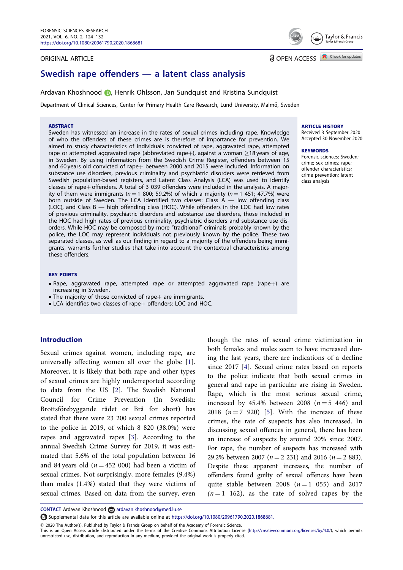#### <span id="page-1-0"></span>ORIGINAL ARTICLE

# Swedish rape offenders — a latent class analysis

Ardavan Khoshnood (D, Henrik Ohlsson, Jan Sundquist and Kristina Sundquist

Department of Clinical Sciences, Center for Primary Health Care Research, Lund University, Malmö, Sweden

#### **ARSTRACT**

Sweden has witnessed an increase in the rates of sexual crimes including rape. Knowledge of who the offenders of these crimes are is therefore of importance for prevention. We aimed to study characteristics of individuals convicted of rape, aggravated rape, attempted rape or attempted aggravated rape (abbreviated rape+), against a woman  $\geq$ 18 years of age, in Sweden. By using information from the Swedish Crime Register, offenders between 15 and 60 years old convicted of rape $+$  between 2000 and 2015 were included. Information on substance use disorders, previous criminality and psychiatric disorders were retrieved from Swedish population-based registers, and Latent Class Analysis (LCA) was used to identify classes of rape+ offenders. A total of 3 039 offenders were included in the analysis. A majority of them were immigrants ( $n = 1$  800; 59.2%) of which a majority ( $n = 1$  451; 47.7%) were born outside of Sweden. The LCA identified two classes: Class A — low offending class (LOC), and Class B — high offending class (HOC). While offenders in the LOC had low rates of previous criminality, psychiatric disorders and substance use disorders, those included in the HOC had high rates of previous criminality, psychiatric disorders and substance use dis-orders. While HOC may be composed by more "traditional" criminals probably known by the police, the LOC may represent individuals not previously known by the police. These two separated classes, as well as our finding in regard to a majority of the offenders being immigrants, warrants further studies that take into account the contextual characteristics among these offenders.

#### KEY POINTS

- Rape, aggravated rape, attempted rape or attempted aggravated rape (rape+) are increasing in Sweden.
- $\bullet$  The majority of those convicted of rape  $+$  are immigrants.
- $\bullet$  LCA identifies two classes of rape $+$  offenders: LOC and HOC.

# Introduction

Sexual crimes against women, including rape, are universally affecting women all over the globe [[1\]](#page-8-0). Moreover, it is likely that both rape and other types of sexual crimes are highly underreported according to data from the US [[2](#page-8-0)]. The Swedish National Council for Crime Prevention (In Swedish: Brottsförebyggande rådet or Brå for short) has stated that there were 23 200 sexual crimes reported to the police in 2019, of which 8 820 (38.0%) were rapes and aggravated rapes [\[3](#page-8-0)]. According to the annual Swedish Crime Survey for 2019, it was estimated that 5.6% of the total population between 16 and 84 years old ( $n = 452,000$ ) had been a victim of sexual crimes. Not surprisingly, more females (9.4%) than males (1.4%) stated that they were victims of sexual crimes. Based on data from the survey, even

though the rates of sexual crime victimization in both females and males seem to have increased during the last years, there are indications of a decline since 2017 [[4\]](#page-8-0). Sexual crime rates based on reports to the police indicate that both sexual crimes in general and rape in particular are rising in Sweden. Rape, which is the most serious sexual crime, increased by 45.4% between 2008  $(n=5 446)$  and 2018  $(n=7, 920)$  [[5\]](#page-8-0). With the increase of these crimes, the rate of suspects has also increased. In discussing sexual offences in general, there has been an increase of suspects by around 20% since 2007. For rape, the number of suspects has increased with 29.2% between 2007 ( $n=2$  231) and 2016 ( $n=2$  883). Despite these apparent increases, the number of offenders found guilty of sexual offences have been quite stable between 2008 ( $n = 1$  055) and 2017  $(n = 1 \ 162)$ , as the rate of solved rapes by the

Supplemental data for this article are available online at <https://doi.org/10.1080/20961790.2020.1868681.>

#### ARTICLE HISTORY

Received 3 September 2020 Accepted 30 November 2020

#### **KEYWORDS**

Forensic sciences; Sweden; crime; sex crimes; rape; offender characteristics; crime prevention; latent class analysis



**a** OPEN ACCESS **D** Check for updates

CONTACT Ardavan Khoshnood ardavan.khoshnood@med.lu.se

2020 The Author(s). Published by Taylor & Francis Group on behalf of the Academy of Forensic Science.

This is an Open Access article distributed under the terms of the Creative Commons Attribution License ([http://creativecommons.org/licenses/by/4.0/\)](http://creativecommons.org/licenses/by/4.0/), which permits unrestricted use, distribution, and reproduction in any medium, provided the original work is properly cited.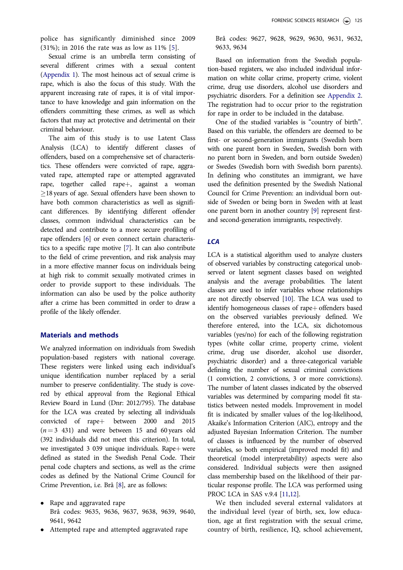<span id="page-2-0"></span>police has significantly diminished since 2009 (31%); in 2016 the rate was as low as 11% [\[5](#page-8-0)].

Sexual crime is an umbrella term consisting of several different crimes with a sexual content [\(Appendix 1\)](https://doi.org/10.1080/20961790.2020.1868681). The most heinous act of sexual crime is rape, which is also the focus of this study. With the apparent increasing rate of rapes, it is of vital importance to have knowledge and gain information on the offenders committing these crimes, as well as which factors that may act protective and detrimental on their criminal behaviour.

The aim of this study is to use Latent Class Analysis (LCA) to identify different classes of offenders, based on a comprehensive set of characteristics. These offenders were convicted of rape, aggravated rape, attempted rape or attempted aggravated rape, together called rape+, against a woman  $\geq$ 18 years of age. Sexual offenders have been shown to have both common characteristics as well as significant differences. By identifying different offender classes, common individual characteristics can be detected and contribute to a more secure profiling of rape offenders [\[6](#page-8-0)] or even connect certain characteristics to a specific rape motive [\[7\]](#page-8-0). It can also contribute to the field of crime prevention, and risk analysis may in a more effective manner focus on individuals being at high risk to commit sexually motivated crimes in order to provide support to these individuals. The information can also be used by the police authority after a crime has been committed in order to draw a profile of the likely offender.

# Materials and methods

We analyzed information on individuals from Swedish population-based registers with national coverage. These registers were linked using each individual's unique identification number replaced by a serial number to preserve confidentiality. The study is covered by ethical approval from the Regional Ethical Review Board in Lund (Dnr: 2012/795). The database for the LCA was created by selecting all individuals convicted of rape $+$  between 2000 and 2015  $(n=3, 431)$  and were between 15 and 60 years old (392 individuals did not meet this criterion). In total, we investigated 3 039 unique individuals. Rape $+$  were defined as stated in the Swedish Penal Code. Their penal code chapters and sections, as well as the crime codes as defined by the National Crime Council for Crime Prevention, i.e. Brå [[8\]](#page-8-0), are as follows:

- Rape and aggravated rape Brå codes: 9635, 9636, 9637, 9638, 9639, 9640, 9641, 9642
- Attempted rape and attempted aggravated rape

Brå codes: 9627, 9628, 9629, 9630, 9631, 9632, 9633, 9634

Based on information from the Swedish population-based registers, we also included individual information on white collar crime, property crime, violent crime, drug use disorders, alcohol use disorders and psychiatric disorders. For a definition see [Appendix 2](https://doi.org/10.1080/20961790.2020.1868681). The registration had to occur prior to the registration for rape in order to be included in the database.

One of the studied variables is "country of birth". Based on this variable, the offenders are deemed to be first- or second-generation immigrants (Swedish born with one parent born in Sweden, Swedish born with no parent born in Sweden, and born outside Sweden) or Swedes (Swedish born with Swedish born parents). In defining who constitutes an immigrant, we have used the definition presented by the Swedish National Council for Crime Prevention: an individual born outside of Sweden or being born in Sweden with at least one parent born in another country [\[9\]](#page-8-0) represent firstand second-generation immigrants, respectively.

# **LCA**

LCA is a statistical algorithm used to analyze clusters of observed variables by constructing categorical unobserved or latent segment classes based on weighted analysis and the average probabilities. The latent classes are used to infer variables whose relationships are not directly observed [\[10](#page-8-0)]. The LCA was used to identify homogeneous classes of rape+ offenders based on the observed variables previously defined. We therefore entered, into the LCA, six dichotomous variables (yes/no) for each of the following registration types (white collar crime, property crime, violent crime, drug use disorder, alcohol use disorder, psychiatric disorder) and a three-categorical variable defining the number of sexual criminal convictions (1 conviction, 2 convictions, 3 or more convictions). The number of latent classes indicated by the observed variables was determined by comparing model fit statistics between nested models. Improvement in model fit is indicated by smaller values of the log-likelihood, Akaike's Information Criterion (AIC), entropy and the adjusted Bayesian Information Criterion. The number of classes is influenced by the number of observed variables, so both empirical (improved model fit) and theoretical (model interpretability) aspects were also considered. Individual subjects were then assigned class membership based on the likelihood of their particular response profile. The LCA was performed using PROC LCA in SAS v.9.4 [[11,12](#page-8-0)].

We then included several external validators at the individual level (year of birth, sex, low education, age at first registration with the sexual crime, country of birth, resilience, IQ, school achievement,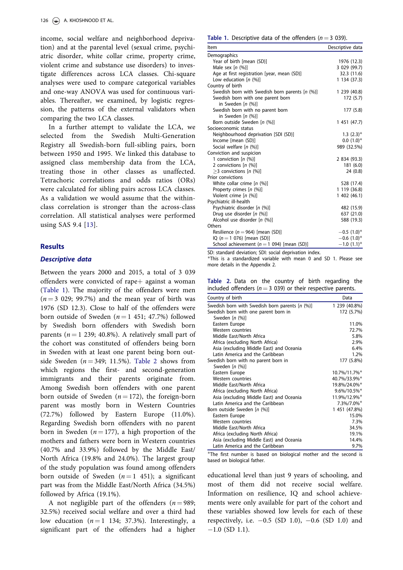<span id="page-3-0"></span>income, social welfare and neighborhood deprivation) and at the parental level (sexual crime, psychiatric disorder, white collar crime, property crime, violent crime and substance use disorders) to investigate differences across LCA classes. Chi-square analyses were used to compare categorical variables and one-way ANOVA was used for continuous variables. Thereafter, we examined, by logistic regression, the patterns of the external validators when comparing the two LCA classes.

In a further attempt to validate the LCA, we selected from the Swedish Multi-Generation Registry all Swedish-born full-sibling pairs, born between 1950 and 1995. We linked this database to assigned class membership data from the LCA, treating those in other classes as unaffected. Tetrachoric correlations and odds ratios (ORs) were calculated for sibling pairs across LCA classes. As a validation we would assume that the withinclass correlation is stronger than the across-class correlation. All statistical analyses were performed using SAS 9.4 [[13](#page-8-0)].

### **Results**

## Descriptive data

Between the years 2000 and 2015, a total of 3 039 offenders were convicted of rape $+$  against a woman (Table 1). The majority of the offenders were men  $(n = 3 029; 99.7%)$  and the mean year of birth was 1976 (SD 12.3). Close to half of the offenders were born outside of Sweden  $(n = 1 451; 47.7%)$  followed by Swedish born offenders with Swedish born parents ( $n = 1$  239; 40.8%). A relatively small part of the cohort was constituted of offenders being born in Sweden with at least one parent being born outside Sweden ( $n = 349$ ; 11.5%). Table 2 shows from which regions the first- and second-generation immigrants and their parents originate from. Among Swedish born offenders with one parent born outside of Sweden ( $n = 172$ ), the foreign-born parent was mostly born in Western Countries (72.7%) followed by Eastern Europe (11.0%). Regarding Swedish born offenders with no parent born in Sweden ( $n = 177$ ), a high proportion of the mothers and fathers were born in Western countries (40.7% and 33.9%) followed by the Middle East/ North Africa (19.8% and 24.0%). The largest group of the study population was found among offenders born outside of Sweden  $(n = 1 451)$ ; a significant part was from the Middle East/North Africa (34.5%) followed by Africa (19.1%).

A not negligible part of the offenders  $(n = 989)$ ; 32.5%) received social welfare and over a third had low education  $(n = 1 \ 134; \ 37.3\%)$ . Interestingly, a significant part of the offenders had a higher

| Table 1. Descriptive data of the offenders ( $n = 3$ 039). |  |  |  |  |  |  |  |
|------------------------------------------------------------|--|--|--|--|--|--|--|
|------------------------------------------------------------|--|--|--|--|--|--|--|

| Item                                           | Descriptive data          |
|------------------------------------------------|---------------------------|
| Demographics                                   |                           |
| Year of birth [mean (SD)]                      | 1976 (12.3)               |
| Male sex $[n (%)]$                             | 3 029 (99.7)              |
| Age at first registration [year, mean (SD)]    | 32.3 (11.6)               |
| Low education $[n (%)]$                        | 1 134 (37.3)              |
| Country of birth                               |                           |
| Swedish born with Swedish born parents [n (%)] | 1 239 (40.8)              |
| Swedish born with one parent born              | 172 (5.7)                 |
| in Sweden $[n (%)]$                            |                           |
| Swedish born with no parent born               | 177 (5.8)                 |
| in Sweden $[n (%)]$                            |                           |
| Born outside Sweden [n (%)]                    | 1 451 (47.7)              |
| Socioeconomic status                           |                           |
| Neighbourhood deprivation [SDI (SD)]           | $1.3$ $(2.3)^*$           |
| Income [mean (SD)]                             | $0.0(1.0)*$               |
| Social welfare [n (%)]                         | 989 (32.5%)               |
| Conviction and suspicion                       |                           |
| 1 conviction $[n (%)]$                         | 2 834 (93.3)              |
| 2 convictions $[n (%)]$                        | 181 (6.0)                 |
| $>$ 3 convictions [n (%)]                      | 24 (0.8)                  |
| Prior convictions                              |                           |
| White collar crime $[n (%)]$                   | 528 (17.4)                |
| Property crimes [n (%)]                        | 1 119 (36.8)              |
| Violent crime $[n (%)]$                        | 1402(46.1)                |
| Psychiatric ill-health                         |                           |
| Psychiatric disorder [n (%)]                   | 482 (15.9)                |
| Drug use disorder [n (%)]                      | 637 (21.0)                |
| Alcohol use disorder [n (%)]                   | 588 (19.3)                |
| Others                                         |                           |
| Resilience ( $n = 964$ ) [mean (SD)]           | $-0.5$ (1.0) <sup>*</sup> |
| IQ ( $n = 1$ 076) [mean (SD)]                  | $-0.6$ (1.0) <sup>*</sup> |
| School achievement ( $n = 1$ 094) [mean (SD)]  | $-1.0$ (1.1) <sup>*</sup> |

SD: standard deviation; SDI: social deprivation index.

This is a standardized variable with mean 0 and SD 1. Please see more details in the Appendix 2.

Table 2. Data on the country of birth regarding the included offenders ( $n = 3$  039) or their respective parents.

| Country of birth                               | Data                        |
|------------------------------------------------|-----------------------------|
| Swedish born with Swedish born parents [n (%)] | 1 239 (40.8%)               |
| Swedish born with one parent born in           | 172 (5.7%)                  |
| Sweden $[n (%)]$                               |                             |
| Eastern Europe                                 | 11.0%                       |
| Western countries                              | 72.7%                       |
| Middle East/North Africa                       | 5.8%                        |
| Africa (excluding North Africa)                | 2.9%                        |
| Asia (excluding Middle East) and Oceania       | 6.4%                        |
| Latin America and the Caribbean                | 1.2%                        |
| Swedish born with no parent born in            | 177 (5.8%)                  |
| Sweden $[n (%)]$                               |                             |
| Eastern Europe                                 | 10.7%/11.7%*                |
| Western countries                              | 40.7%/33.9%*                |
| Middle East/North Africa                       | 19.8%/24.0%*                |
| Africa (excluding North Africa)                | $9.6\%/10.5\%$ <sup>*</sup> |
| Asia (excluding Middle East) and Oceania       | 11.9%/12.9%*                |
| Latin America and the Caribbean                | 7.3%/7.0%*                  |
| Born outside Sweden [n (%)]                    | 1 451 (47.8%)               |
| Eastern Europe                                 | 15.0%                       |
| <b>Western countries</b>                       | 7.3%                        |
| Middle East/North Africa                       | 34.5%                       |
| Africa (excluding North Africa)                | 19.1%                       |
| Asia (excluding Middle East) and Oceania       | 14.4%                       |
| Latin America and the Caribbean                | 9.7%                        |

The first number is based on biological mother and the second is based on biological father.

educational level than just 9 years of schooling, and most of them did not receive social welfare. Information on resilience, IQ and school achievements were only available for part of the cohort and these variables showed low levels for each of these respectively, i.e.  $-0.5$  (SD 1.0),  $-0.6$  (SD 1.0) and  $-1.0$  (SD 1.1).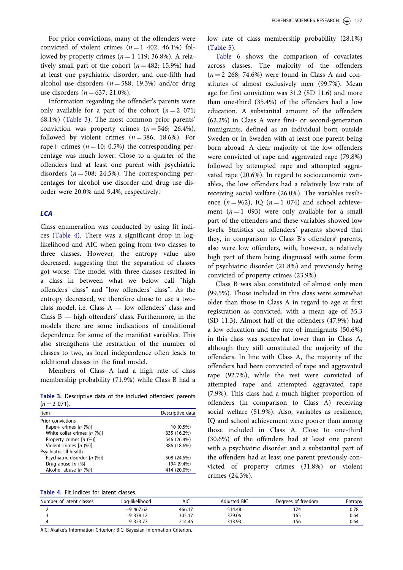<span id="page-4-0"></span>For prior convictions, many of the offenders were convicted of violent crimes  $(n = 1, 402, 46.1\%)$  followed by property crimes  $(n = 1 119; 36.8\%)$ . A relatively small part of the cohort ( $n = 482$ ; 15.9%) had at least one psychiatric disorder, and one-fifth had alcohol use disorders ( $n = 588$ ; 19.3%) and/or drug use disorders ( $n = 637; 21.0\%$ ).

Information regarding the offender's parents were only available for a part of the cohort  $(n = 2 \ 071)$ ; 68.1%) (Table 3). The most common prior parents' conviction was property crimes  $(n = 546; 26.4\%),$ followed by violent crimes  $(n = 386; 18.6\%)$ . For rape+ crimes  $(n = 10; 0.5%)$  the corresponding percentage was much lower. Close to a quarter of the offenders had at least one parent with psychiatric disorders ( $n = 508$ ; 24.5%). The corresponding percentages for alcohol use disorder and drug use disorder were 20.0% and 9.4%, respectively.

# **ICA**

Class enumeration was conducted by using fit indices (Table 4). There was a significant drop in loglikelihood and AIC when going from two classes to three classes. However, the entropy value also decreased, suggesting that the separation of classes got worse. The model with three classes resulted in a class in between what we below call "high offenders' class" and "low offenders' class". As the entropy decreased, we therefore chose to use a twoclass model, i.e. Class A — low offenders' class and Class B — high offenders' class. Furthermore, in the models there are some indications of conditional dependence for some of the manifest variables. This also strengthens the restriction of the number of classes to two, as local independence often leads to additional classes in the final model.

Members of Class A had a high rate of class membership probability (71.9%) while Class B had a

Table 3. Descriptive data of the included offenders' parents  $(n = 2 071)$ .

| <b>Item</b>                   | Descriptive data |
|-------------------------------|------------------|
| Prior convictions             |                  |
| Rape+ crimes $[n (%)]$        | $10(0.5\%)$      |
| White collar crimes $[n (%)]$ | 335 (16.2%)      |
| Property crimes [n (%)]       | 546 (26.4%)      |
| Violent crimes $[n (%)]$      | 386 (18.6%)      |
| Psychiatric ill-health        |                  |
| Psychiatric disorder [n (%)]  | 508 (24.5%)      |
| Drug abuse $[n (%)]$          | 194 (9.4%)       |
| Alcohol abuse $[n (%)]$       | 414 (20.0%)      |
|                               |                  |

low rate of class membership probability (28.1%) [\(Table 5](#page-5-0)).

[Table 6](#page-5-0) shows the comparison of covariates across classes. The majority of the offenders  $(n = 2, 268; 74.6%)$  were found in Class A and constitutes of almost exclusively men (99.7%). Mean age for first conviction was 31.2 (SD 11.6) and more than one-third (35.4%) of the offenders had a low education. A substantial amount of the offenders (62.2%) in Class A were first- or second-generation immigrants, defined as an individual born outside Sweden or in Sweden with at least one parent being born abroad. A clear majority of the low offenders were convicted of rape and aggravated rape (79.8%) followed by attempted rape and attempted aggravated rape (20.6%). In regard to socioeconomic variables, the low offenders had a relatively low rate of receiving social welfare (26.0%). The variables resilience ( $n = 962$ ), IQ ( $n = 1$  074) and school achievement  $(n = 1 \ 093)$  were only available for a small part of the offenders and these variables showed low levels. Statistics on offenders' parents showed that they, in comparison to Class B's offenders' parents, also were low offenders, with, however, a relatively high part of them being diagnosed with some form of psychiatric disorder (21.8%) and previously being convicted of property crimes (23.9%).

Class B was also constituted of almost only men (99.5%). Those included in this class were somewhat older than those in Class A in regard to age at first registration as convicted, with a mean age of 35.3 (SD 11.3). Almost half of the offenders (47.9%) had a low education and the rate of immigrants (50.6%) in this class was somewhat lower than in Class A, although they still constituted the majority of the offenders. In line with Class A, the majority of the offenders had been convicted of rape and aggravated rape (92.7%), while the rest were convicted of attempted rape and attempted aggravated rape (7.9%). This class had a much higher proportion of offenders (in comparison to Class A) receiving social welfare (51.9%). Also, variables as resilience, IQ and school achievement were poorer than among those included in Class A. Close to one-third (30.6%) of the offenders had at least one parent with a psychiatric disorder and a substantial part of the offenders had at least one parent previously convicted of property crimes (31.8%) or violent crimes (24.3%).

| Table 4. Fit indices for latent classes. |
|------------------------------------------|
|------------------------------------------|

| Number of latent classes | Log-likelihood | AIC    | <b>Adiusted BIC</b> | Degrees of freedom | Entropy |
|--------------------------|----------------|--------|---------------------|--------------------|---------|
|                          | $-9,467.62$    | 466.17 | 514.48              | 174                | 0.78    |
|                          | $-9$ 378.12    | 305.17 | 379.06              | 165                | 0.64    |
|                          | $-9$ 323.77    | 214.46 | 313.93              | 156                | 0.64    |

AIC: Akaike's Information Criterion; BIC: Bayesian Information Criterion.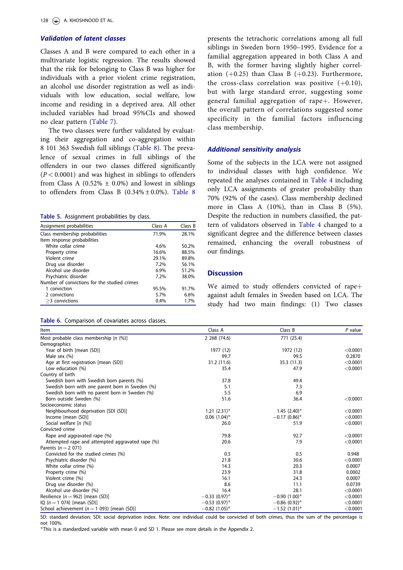# <span id="page-5-0"></span>Validation of latent classes

Classes A and B were compared to each other in a multivariate logistic regression. The results showed that the risk for belonging to Class B was higher for individuals with a prior violent crime registration, an alcohol use disorder registration as well as individuals with low education, social welfare, low income and residing in a deprived area. All other included variables had broad 95%CIs and showed no clear pattern ([Table 7\)](#page-6-0).

The two classes were further validated by evaluating their aggregation and co-aggregation within 8 101 363 Swedish full siblings [\(Table 8](#page-6-0)). The prevalence of sexual crimes in full siblings of the offenders in our two classes differed significantly  $(P < 0.0001)$  and was highest in siblings to offenders from Class A ( $0.52\% \pm 0.0\%$ ) and lowest in siblings to offenders from Class B  $(0.34\% \pm 0.0\%)$ . [Table 8](#page-6-0)

Table 5. Assignment probabilities by class.

| Assignment probabilities                     | Class A | Class B |
|----------------------------------------------|---------|---------|
| Class membership probabilities               | 71.9%   | 28.1%   |
| Item response probabilities                  |         |         |
| White collar crime                           | 4.6%    | 50.2%   |
| Property crime                               | 16.6%   | 88.5%   |
| Violent crime                                | 29.1%   | 89.8%   |
| Drug use disorder                            | 7.2%    | 56.1%   |
| Alcohol use disorder                         | $6.9\%$ | 51.2%   |
| Psychiatric disorder                         | 7.2%    | 38.0%   |
| Number of convictions for the studied crimes |         |         |
| 1 conviction                                 | 95.5%   | 91.7%   |
| 2 convictions                                | 5.7%    | 6.6%    |
| $>3$ convictions                             | 0.4%    | 1.7%    |

|  |  | Table 6. Comparison of covariates across classes. |  |  |  |  |
|--|--|---------------------------------------------------|--|--|--|--|
|--|--|---------------------------------------------------|--|--|--|--|

presents the tetrachoric correlations among all full siblings in Sweden born 1950–1995. Evidence for a familial aggregation appeared in both Class A and B, with the former having slightly higher correlation  $(+0.25)$  than Class B  $(+0.23)$ . Furthermore, the cross-class correlation was positive  $(+0.10)$ , but with large standard error, suggesting some general familial aggregation of rape $+$ . However, the overall pattern of correlations suggested some specificity in the familial factors influencing class membership.

## Additional sensitivity analysis

Some of the subjects in the LCA were not assigned to individual classes with high confidence. We repeated the analyses contained in [Table 4](#page-4-0) including only LCA assignments of greater probability than 70% (92% of the cases). Class membership declined more in Class A (10%), than in Class B (5%). Despite the reduction in numbers classified, the pattern of validators observed in [Table 4](#page-4-0) changed to a significant degree and the difference between classes remained, enhancing the overall robustness of our findings.

# **Discussion**

We aimed to study offenders convicted of rape $+$ against adult females in Sweden based on LCA. The study had two main findings: (1) Two classes

| <b>Item</b>                                      | Class A                     | Class B                     | $P$ value |
|--------------------------------------------------|-----------------------------|-----------------------------|-----------|
| Most probable class membership $[n (%)]$         | 2 268 (74.6)                | 771 (25.4)                  |           |
| Demographics                                     |                             |                             |           |
| Year of birth [mean (SD)]                        | 1977 (12)                   | 1972 (12)                   | < 0.0001  |
| Male sex (%)                                     | 99.7                        | 99.5                        | 0.2870    |
| Age at first registration [mean (SD)]            | 31.2 (11.6)                 | 35.3 (11.3)                 | < 0.0001  |
| Low education (%)                                | 35.4                        | 47.9                        | < 0.0001  |
| Country of birth                                 |                             |                             |           |
| Swedish born with Swedish born parents (%)       | 37.8                        | 49.4                        |           |
| Swedish born with one parent born in Sweden (%)  | 5.1                         | 7.3                         |           |
| Swedish born with no parent born in Sweden (%)   | 5.5                         | 6.9                         |           |
| Born outside Sweden (%)                          | 51.6                        | 36.4                        | < 0.0001  |
| Socioeconomic status                             |                             |                             |           |
| Neighbourhood deprivation [SDI (SD)]             | $1.21 (2.31)^*$             | $1.45$ (2.40) <sup>*</sup>  | < 0.0001  |
| Income [mean (SD)]                               | $0.06$ $(1.04)^*$           | $-0.17(0.86)$ *             | < 0.0001  |
| Social welfare [n (%)]                           | 26.0                        | 51.9                        | < 0.0001  |
| Convicted crime                                  |                             |                             |           |
| Rape and aggravated rape (%)                     | 79.8                        | 92.7                        | < 0.0001  |
| Attempted rape and attempted aggravated rape (%) | 20.6                        | 7.9                         | < 0.0001  |
| Parents ( $n = 2$ 071)                           |                             |                             |           |
| Convicted for the studied crimes (%)             | 0.5                         | 0.5                         | 0.948     |
| Psychiatric disorder (%)                         | 21.8                        | 30.6                        | < 0.0001  |
| White collar crime (%)                           | 14.3                        | 20.3                        | 0.0007    |
| Property crime (%)                               | 23.9                        | 31.8                        | 0.0002    |
| Violent crime (%)                                | 16.1                        | 24.3                        | 0.0007    |
| Drug use disorder (%)                            | 8.6                         | 11.1                        | 0.0739    |
| Alcohol use disorder (%)                         | 16.4                        | 28.1                        | < 0.0001  |
| Resilience ( $n = 962$ ) [mean (SD)]             | $-0.33(0.97)$ <sup>*</sup>  | $-0.90(1.00)*$              | < 0.0001  |
| $IQ (n = 1 074)$ [mean (SD)]                     | $-0.53(0.97)^*$             | $-0.86(0.92)^{*}$           | < 0.0001  |
| School achievement ( $n = 1$ 093) [mean (SD)]    | $-0.82$ (1.05) <sup>*</sup> | $-1.52$ (1.01) <sup>*</sup> | < 0.0001  |

SD: standard deviation; SDI: social deprivation index. Note: one individual could be convicted of both crimes, thus the sum of the percentage is not 100%.

This is a standardized variable with mean 0 and SD 1. Please see more details in the Appendix 2.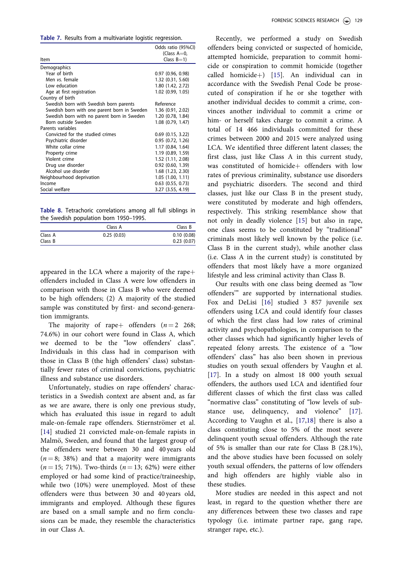<span id="page-6-0"></span>Table 7. Results from a multivariate logistic regression.

|                                             | Odds ratio (95%CI)    |
|---------------------------------------------|-----------------------|
|                                             | (Class $A=0$ ,        |
| Item                                        | Class $B=1$ )         |
| Demographics                                |                       |
| Year of birth                               | 0.97(0.96, 0.98)      |
| Men vs. female                              | 1.32 (0.31, 5.60)     |
| Low education                               | 1.80 (1.42, 2.72)     |
| Age at first registration                   | 1.02 (0.99, 1.05)     |
| Country of birth                            |                       |
| Swedish born with Swedish born parents      | Reference             |
| Swedish born with one parent born in Sweden | 1.36 (0.91, 2.02)     |
| Swedish born with no parent born in Sweden  | 1.20 (0.78, 1.84)     |
| Born outside Sweden                         | 1.08 (0.79, 1.47)     |
| Parents variables                           |                       |
| Convicted for the studied crimes            | $0.69$ $(0.15, 3.22)$ |
| Psychiatric disorder                        | 0.95(0.72, 1.26)      |
| White collar crime                          | 1.17 (0.84, 1.64)     |
| Property crime                              | 1.19 (0.89, 1.59)     |
| Violent crime                               | 1.52 (1.11, 2.08)     |
| Drug use disorder                           | $0.92$ $(0.60, 1.39)$ |
| Alcohol use disorder                        | 1.68 (1.23, 2.30)     |
| Neighbourhood deprivation                   | 1.05(1.00, 1.11)      |
| Income                                      | $0.63$ $(0.55, 0.73)$ |
| Social welfare                              | $3.27$ $(3.55, 4.19)$ |

Table 8. Tetrachoric correlations among all full siblings in the Swedish population born 1950–1995.

|         | Class A    | Class B    |
|---------|------------|------------|
| Class A | 0.25(0.03) | 0.10(0.08) |
| Class B |            | 0.23(0.07) |

appeared in the LCA where a majority of the rape $+$ offenders included in Class A were low offenders in comparison with those in Class B who were deemed to be high offenders; (2) A majority of the studied sample was constituted by first- and second-generation immigrants.

The majority of rape+ offenders  $(n = 2 \ 268)$ ; 74.6%) in our cohort were found in Class A, which we deemed to be the "low offenders' class". Individuals in this class had in comparison with those in Class B (the high offenders' class) substantially fewer rates of criminal convictions, psychiatric illness and substance use disorders.

Unfortunately, studies on rape offenders' characteristics in a Swedish context are absent and, as far as we are aware, there is only one previous study, which has evaluated this issue in regard to adult male-on-female rape offenders. Stiernströmer et al. [\[14](#page-8-0)] studied 21 convicted male-on-female rapists in Malmö, Sweden, and found that the largest group of the offenders were between 30 and 40 years old  $(n = 8; 38%)$  and that a majority were immigrants  $(n = 15; 71\%)$ . Two-thirds  $(n = 13; 62\%)$  were either employed or had some kind of practice/traineeship, while two (10%) were unemployed. Most of these offenders were thus between 30 and 40 years old, immigrants and employed. Although these figures are based on a small sample and no firm conclusions can be made, they resemble the characteristics in our Class A.

Recently, we performed a study on Swedish offenders being convicted or suspected of homicide, attempted homicide, preparation to commit homicide or conspiration to commit homicide (together called homicide+) [[15](#page-8-0)]. An individual can in accordance with the Swedish Penal Code be prosecuted of conspiration if he or she together with another individual decides to commit a crime, convinces another individual to commit a crime or him- or herself takes charge to commit a crime. A total of 14 466 individuals committed for these crimes between 2000 and 2015 were analyzed using LCA. We identified three different latent classes; the first class, just like Class A in this current study, was constituted of homicide+ offenders with low rates of previous criminality, substance use disorders and psychiatric disorders. The second and third classes, just like our Class B in the present study, were constituted by moderate and high offenders, respectively. This striking resemblance show that not only in deadly violence [[15\]](#page-8-0) but also in rape, one class seems to be constituted by "traditional" criminals most likely well known by the police (i.e. Class B in the current study), while another class (i.e. Class A in the current study) is constituted by offenders that most likely have a more organized lifestyle and less criminal activity than Class B.

Our results with one class being deemed as "low offenders'" are supported by international studies. Fox and DeLisi [[16\]](#page-8-0) studied 3 857 juvenile sex offenders using LCA and could identify four classes of which the first class had low rates of criminal activity and psychopathologies, in comparison to the other classes which had significantly higher levels of repeated felony arrests. The existence of a "low offenders' class" has also been shown in previous studies on youth sexual offenders by Vaughn et al. [\[17](#page-8-0)]. In a study on almost 18 000 youth sexual offenders, the authors used LCA and identified four different classes of which the first class was called "normative class" constituting of "low levels of sub-stance use, delinquency, and violence" [\[17](#page-8-0)]. According to Vaughn et al., [[17,18](#page-8-0)] there is also a class constituting close to 5% of the most severe delinquent youth sexual offenders. Although the rate of 5% is smaller than our rate for Class B (28.1%), and the above studies have been focussed on solely youth sexual offenders, the patterns of low offenders and high offenders are highly viable also in these studies.

More studies are needed in this aspect and not least, in regard to the question whether there are any differences between these two classes and rape typology (i.e. intimate partner rape, gang rape, stranger rape, etc.).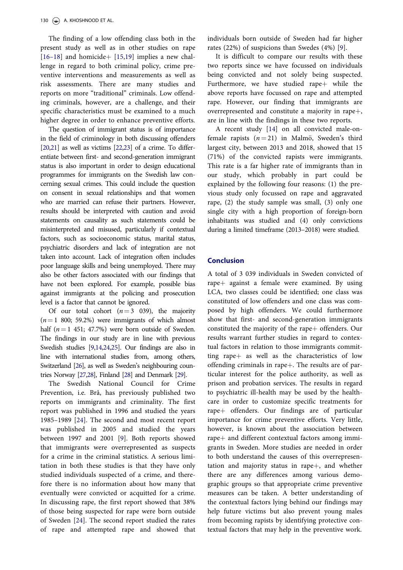<span id="page-7-0"></span>The finding of a low offending class both in the present study as well as in other studies on rape [\[16](#page-8-0)–18] and homicide | [\[15](#page-8-0),[19\]](#page-8-0) implies a new challenge in regard to both criminal policy, crime preventive interventions and measurements as well as risk assessments. There are many studies and reports on more "traditional" criminals. Low offending criminals, however, are a challenge, and their specific characteristics must be examined to a much higher degree in order to enhance preventive efforts.

The question of immigrant status is of importance in the field of criminology in both discussing offenders [\[20,21](#page-8-0)] as well as victims [\[22,23](#page-8-0)] of a crime. To differentiate between first- and second-generation immigrant status is also important in order to design educational programmes for immigrants on the Swedish law concerning sexual crimes. This could include the question on consent in sexual relationships and that women who are married can refuse their partners. However, results should be interpreted with caution and avoid statements on causality as such statements could be misinterpreted and misused, particularly if contextual factors, such as socioeconomic status, marital status, psychiatric disorders and lack of integration are not taken into account. Lack of integration often includes poor language skills and being unemployed. There may also be other factors associated with our findings that have not been explored. For example, possible bias against immigrants at the policing and prosecution level is a factor that cannot be ignored.

Of our total cohort  $(n=3 \ 039)$ , the majority  $(n=1, 800; 59.2%)$  were immigrants of which almost half  $(n = 1 451; 47.7%)$  were born outside of Sweden. The findings in our study are in line with previous Swedish studies [\[9,14,24](#page-8-0)[,25\]](#page-9-0). Our findings are also in line with international studies from, among others, Switzerland [\[26\]](#page-9-0), as well as Sweden's neighbouring countries Norway [[27,28](#page-9-0)], Finland [\[28\]](#page-9-0) and Denmark [\[29](#page-9-0)].

The Swedish National Council for Crime Prevention, i.e. Brå, has previously published two reports on immigrants and criminality. The first report was published in 1996 and studied the years 1985–1989 [\[24](#page-8-0)]. The second and most recent report was published in 2005 and studied the years between 1997 and 2001 [[9\]](#page-8-0). Both reports showed that immigrants were overrepresented as suspects for a crime in the criminal statistics. A serious limitation in both these studies is that they have only studied individuals suspected of a crime, and therefore there is no information about how many that eventually were convicted or acquitted for a crime. In discussing rape, the first report showed that 38% of those being suspected for rape were born outside of Sweden [\[24](#page-8-0)]. The second report studied the rates of rape and attempted rape and showed that

individuals born outside of Sweden had far higher rates (22%) of suspicions than Swedes (4%) [\[9](#page-8-0)].

It is difficult to compare our results with these two reports since we have focussed on individuals being convicted and not solely being suspected. Furthermore, we have studied rape $+$  while the above reports have focussed on rape and attempted rape. However, our finding that immigrants are overrepresented and constitute a majority in rape+, are in line with the findings in these two reports.

A recent study [[14\]](#page-8-0) on all convicted male-onfemale rapists  $(n = 21)$  in Malmö, Sweden's third largest city, between 2013 and 2018, showed that 15 (71%) of the convicted rapists were immigrants. This rate is a far higher rate of immigrants than in our study, which probably in part could be explained by the following four reasons: (1) the previous study only focussed on rape and aggravated rape, (2) the study sample was small, (3) only one single city with a high proportion of foreign-born inhabitants was studied and (4) only convictions during a limited timeframe (2013–2018) were studied.

# Conclusion

A total of 3 039 individuals in Sweden convicted of rape $+$  against a female were examined. By using LCA, two classes could be identified; one class was constituted of low offenders and one class was composed by high offenders. We could furthermore show that first- and second-generation immigrants constituted the majority of the rape+ offenders. Our results warrant further studies in regard to contextual factors in relation to those immigrants committing rape $+$  as well as the characteristics of low offending criminals in rape $+$ . The results are of particular interest for the police authority, as well as prison and probation services. The results in regard to psychiatric ill-health may be used by the healthcare in order to customize specific treatments for rape+ offenders. Our findings are of particular importance for crime preventive efforts. Very little, however, is known about the association between rape $+$  and different contextual factors among immigrants in Sweden. More studies are needed in order to both understand the causes of this overrepresentation and majority status in rape $+$ , and whether there are any differences among various demographic groups so that appropriate crime preventive measures can be taken. A better understanding of the contextual factors lying behind our findings may help future victims but also prevent young males from becoming rapists by identifying protective contextual factors that may help in the preventive work.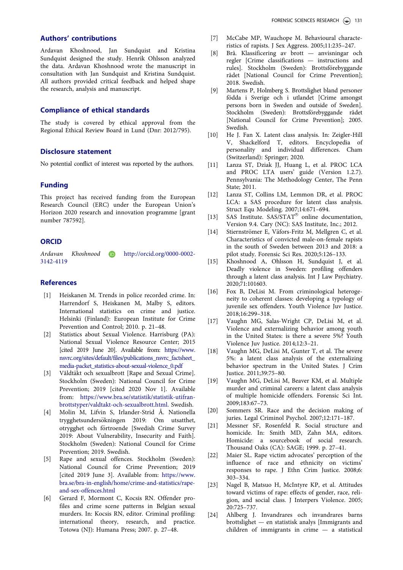# <span id="page-8-0"></span>Authors' contributions

Ardavan Khoshnood, Jan Sundquist and Kristina Sundquist designed the study. Henrik Ohlsson analyzed the data. Ardavan Khoshnood wrote the manuscript in consultation with Jan Sundquist and Kristina Sundquist. All authors provided critical feedback and helped shape the research, analysis and manuscript.

# Compliance of ethical standards

The study is covered by ethical approval from the Regional Ethical Review Board in Lund (Dnr: 2012/795).

### Disclosure statement

No potential conflict of interest was reported by the authors.

# Funding

This project has received funding from the European Research Council (ERC) under the European Union's Horizon 2020 research and innovation programme [grant number 787592].

# **ORCID**

Ardavan Khoshnood in http://orcid.org/0000-0002-3142-4119

## References

- [\[1\] H](#page-1-0)eiskanen M. Trends in police recorded crime. In: Harrendorf S, Heiskanen M, Malby S, editors. International statistics on crime and justice. Helsinki (Finland): European Institute for Crime Prevention and Control; 2010. p. 21–48.
- [\[2\] S](#page-1-0)tatistics about Sexual Violence. Harrisburg (PA): National Sexual Violence Resource Center; 2015 [cited 2019 June 20]. Available from: [https://www.](https://www.nsvrc.org/sites/default/files/publications_nsvrc_factsheet_media-packet_statistics-about-sexual-violence_0.pdf) [nsvrc.org/sites/default/files/publications\\_nsvrc\\_factsheet\\_](https://www.nsvrc.org/sites/default/files/publications_nsvrc_factsheet_media-packet_statistics-about-sexual-violence_0.pdf) [media-packet\\_statistics-about-sexual-violence\\_0.pdf](https://www.nsvrc.org/sites/default/files/publications_nsvrc_factsheet_media-packet_statistics-about-sexual-violence_0.pdf)
- [\[3\] V](#page-1-0)åldtäkt och sexualbrott [Rape and Sexual Crime]. Stockholm (Sweden): National Council for Crime Prevention; 2019 [cited 2020 Nov 1]. Available from: [https://www.bra.se/statistik/statistik-utifran](https://www.bra.se/statistik/statistik-utifran-brottstyper/valdtakt-och-sexualbrott.html)[brottstyper/valdtakt-och-sexualbrott.html](https://www.bra.se/statistik/statistik-utifran-brottstyper/valdtakt-och-sexualbrott.html). Swedish.
- [\[4\] M](#page-1-0)olin M, Lifvin S, Irlander-Strid Å. Nationella trygghetsundersökningen 2019: Om utsatthet, otrygghet och förtroende [Swedish Crime Survey 2019: About Vulnerability, Insecurity and Faith]. Stockholm (Sweden): National Council for Crime Prevention; 2019. Swedish.
- [\[5\] R](#page-1-0)ape and sexual offences. Stockholm (Sweden): National Council for Crime Prevention; 2019 [cited 2019 June 3]. Available from: [https://www.](https://www.bra.se/bra-in-english/home/crime-and-statistics/rape-and-sex-offences.html) [bra.se/bra-in-english/home/crime-and-statistics/rape](https://www.bra.se/bra-in-english/home/crime-and-statistics/rape-and-sex-offences.html)[and-sex-offences.html](https://www.bra.se/bra-in-english/home/crime-and-statistics/rape-and-sex-offences.html)
- [\[6\] G](#page-2-0)erard F, Mormont C, Kocsis RN. Offender profiles and crime scene patterns in Belgian sexual murders. In: Kocsis RN, editor. Criminal profiling: international theory, research, and practice. Totowa (NJ): Humana Press; 2007. p. 27–48.
- [\[7\] M](#page-2-0)cCabe MP, Wauchope M. Behavioural characteristics of rapists. J Sex Aggress. 2005;11:235–247.
- [\[8\] B](#page-2-0)rå. Klassificering av brott anvisningar och regler [Crime classifications — instructions and rules]. Stockholm (Sweden): Brottsförebyggande rådet [National Council for Crime Prevention]; 2018. Swedish.
- [\[9\] M](#page-2-0)artens P, Holmberg S. Brottslighet bland personer födda i Sverige och i utlandet [Crime amongst persons born in Sweden and outside of Sweden]. Stockholm (Sweden): Brottsförebyggande rådet [National Council for Crime Prevention]; 2005. Swedish.
- [\[10\] H](#page-2-0)e J. Fan X. Latent class analysis. In: Zeigler-Hill V, Shackelford T, editors. Encyclopedia of personality and individual differences. Cham (Switzerland): Springer; 2020.
- [\[11\] L](#page-2-0)anza ST, Dziak JJ, Huang L, et al. PROC LCA and PROC LTA users' guide (Version 1.2.7). Pennsylvania: The Methodology Center, The Penn State; 2011.
- [\[12\] L](#page-2-0)anza ST, Collins LM, Lemmon DR, et al. PROC LCA: a SAS procedure for latent class analysis. Struct Equ Modeling. 2007;14:671–694.
- [\[13\] S](#page-3-0)AS Institute.  $SAS/STAT^{\circledcirc}$  online documentation, Version 9.4. Cary (NC): SAS Institute, Inc.; 2012.
- [\[14\] S](#page-6-0)tiernströmer E, Väfors-Fritz M, Mellgren C, et al. Characteristics of convicted male-on-female rapists in the south of Sweden between 2013 and 2018: a pilot study. Forensic Sci Res. 2020;5:126–133.
- [\[15\] K](#page-6-0)hoshnood A, Ohlsson H, Sundquist J, et al. Deadly violence in Sweden: profiling offenders through a latent class analysis. Int J Law Psychiatry. 2020;71:101603.
- [\[16\] F](#page-6-0)ox B, DeLisi M. From criminological heterogeneity to coherent classes: developing a typology of juvenile sex offenders. Youth Violence Juv Justice. 2018;16:299–318.
- [\[17\] V](#page-6-0)aughn MG, Salas-Wright CP, DeLisi M, et al. Violence and externalizing behavior among youth in the United States: is there a severe 5%? Youth Violence Juv Justice. 2014;12:3–21.
- [\[18\] V](#page-6-0)aughn MG, DeLisi M, Gunter T, et al. The severe 5%: a latent class analysis of the externalizing behavior spectrum in the United States. J Crim Justice. 2011;39:75–80.
- [\[19\] V](#page-7-0)aughn MG, DeLisi M, Beaver KM, et al. Multiple murder and criminal careers: a latent class analysis of multiple homicide offenders. Forensic Sci Int. 2009;183:67–73.
- [\[20\] S](#page-7-0)ommers SR. Race and the decision making of juries. Legal Criminol Psychol. 2007;12:171–187.
- [\[21\] M](#page-7-0)essner SF, Rosenfeld R. Social structure and homicide. In: Smith MD, Zahn MA, editors. Homicide: a sourcebook of social research. Thousand Oaks (CA): SAGE; 1999. p. 27–41.
- [\[22\] M](#page-7-0)aier SL. Rape victim advocates' perception of the influence of race and ethnicity on victims' responses to rape. J Ethn Crim Justice. 2008;6: 303–334.
- [\[23\] N](#page-7-0)agel B, Matsuo H, McIntyre KP, et al. Attitudes toward victims of rape: effects of gender, race, religion, and social class. J Interpers Violence. 2005; 20:725–737.
- [\[24\] A](#page-7-0)hlberg J. Invandrares och invandrares barns brottslighet — en statistisk analys [Immigrants and children of immigrants in crime — a statistical